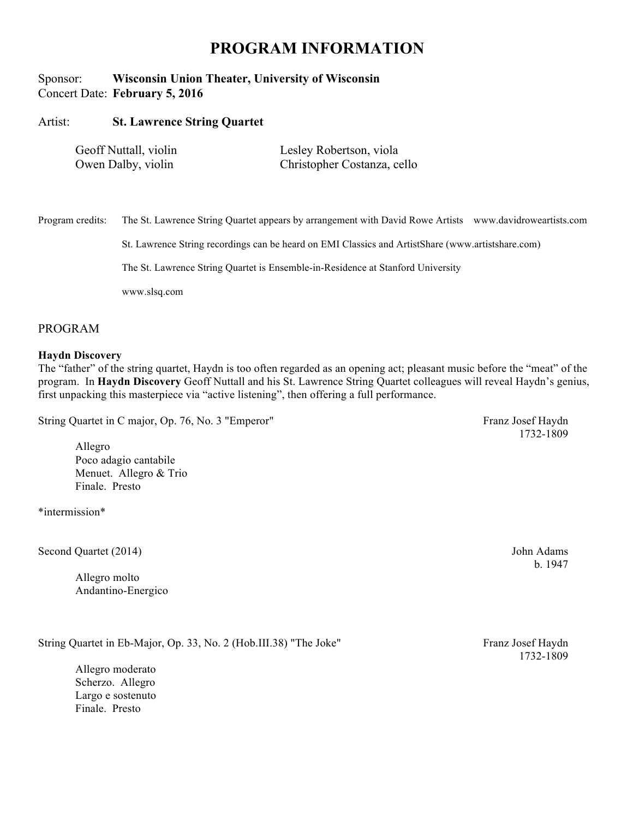## **PROGRAM INFORMATION**

## Sponsor: **Wisconsin Union Theater, University of Wisconsin** Concert Date: **February 5, 2016**

### Artist: **St. Lawrence String Quartet**

| Geoff Nuttall, violin | Lesley Robertson, viola     |
|-----------------------|-----------------------------|
| Owen Dalby, violin    | Christopher Costanza, cello |

Program credits: The St. Lawrence String Quartet appears by arrangement with David Rowe Artists www.davidroweartists.com

St. Lawrence String recordings can be heard on EMI Classics and ArtistShare (www.artistshare.com)

The St. Lawrence String Quartet is Ensemble-in-Residence at Stanford University

www.slsq.com

### PROGRAM

#### **Haydn Discovery**

The "father" of the string quartet, Haydn is too often regarded as an opening act; pleasant music before the "meat" of the program. In **Haydn Discovery** Geoff Nuttall and his St. Lawrence String Quartet colleagues will reveal Haydn's genius, first unpacking this masterpiece via "active listening", then offering a full performance.

String Quartet in C major, Op. 76, No. 3 "Emperor" Franz Josef Haydn

1732-1809

Allegro Poco adagio cantabile Menuet. Allegro & Trio Finale. Presto

\*intermission\*

Second Quartet (2014) John Adams

Allegro molto Andantino-Energico

String Quartet in Eb-Major, Op. 33, No. 2 (Hob.III.38) "The Joke" Franz Josef Haydn

Allegro moderato Scherzo. Allegro Largo e sostenuto Finale. Presto

b. 1947

1732-1809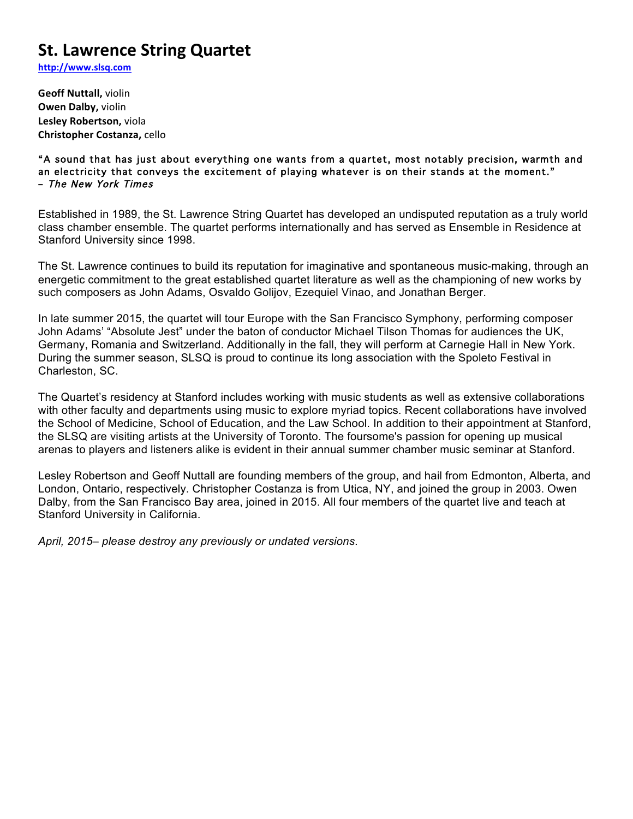# **St. Lawrence String Quartet**

**http://www.slsq.com**

**Geoff Nuttall, violin Owen Dalby, violin Lesley Robertson, viola Christopher Costanza,** cello

"A sound that has just about everything one wants from a quartet, most notably precision, warmth and an electricity that conveys the excitement of playing whatever is on their stands at the moment." – The New York Times

Established in 1989, the St. Lawrence String Quartet has developed an undisputed reputation as a truly world class chamber ensemble. The quartet performs internationally and has served as Ensemble in Residence at Stanford University since 1998.

The St. Lawrence continues to build its reputation for imaginative and spontaneous music-making, through an energetic commitment to the great established quartet literature as well as the championing of new works by such composers as John Adams, Osvaldo Golijov, Ezequiel Vinao, and Jonathan Berger.

In late summer 2015, the quartet will tour Europe with the San Francisco Symphony, performing composer John Adams' "Absolute Jest" under the baton of conductor Michael Tilson Thomas for audiences the UK, Germany, Romania and Switzerland. Additionally in the fall, they will perform at Carnegie Hall in New York. During the summer season, SLSQ is proud to continue its long association with the Spoleto Festival in Charleston, SC.

The Quartet's residency at Stanford includes working with music students as well as extensive collaborations with other faculty and departments using music to explore myriad topics. Recent collaborations have involved the School of Medicine, School of Education, and the Law School. In addition to their appointment at Stanford, the SLSQ are visiting artists at the University of Toronto. The foursome's passion for opening up musical arenas to players and listeners alike is evident in their annual summer chamber music seminar at Stanford.

Lesley Robertson and Geoff Nuttall are founding members of the group, and hail from Edmonton, Alberta, and London, Ontario, respectively. Christopher Costanza is from Utica, NY, and joined the group in 2003. Owen Dalby, from the San Francisco Bay area, joined in 2015. All four members of the quartet live and teach at Stanford University in California.

*April, 2015– please destroy any previously or undated versions*.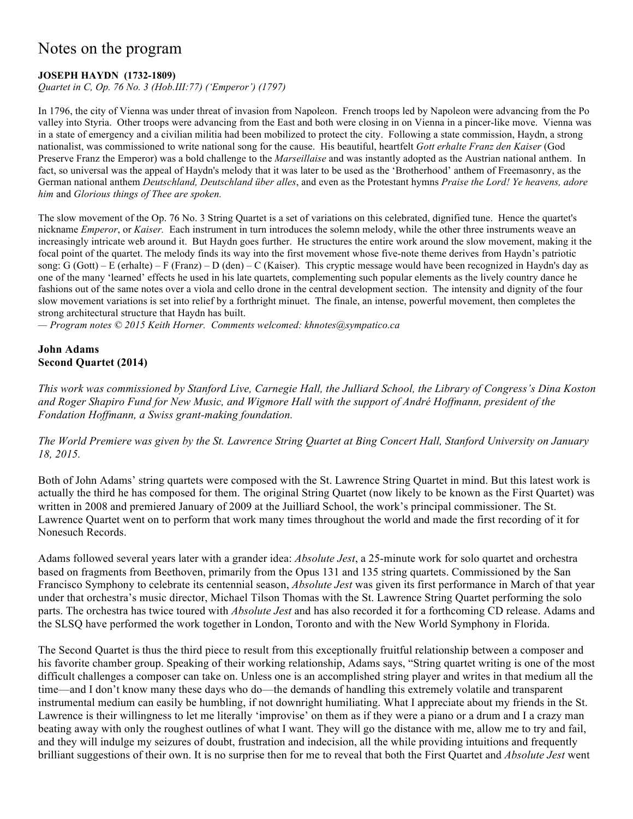# Notes on the program

## **JOSEPH HAYDN (1732-1809)**

*Quartet in C, Op. 76 No. 3 (Hob.III:77) ('Emperor') (1797)*

In 1796, the city of Vienna was under threat of invasion from Napoleon. French troops led by Napoleon were advancing from the Po valley into Styria. Other troops were advancing from the East and both were closing in on Vienna in a pincer-like move. Vienna was in a state of emergency and a civilian militia had been mobilized to protect the city. Following a state commission, Haydn, a strong nationalist, was commissioned to write national song for the cause. His beautiful, heartfelt *Gott erhalte Franz den Kaiser* (God Preserve Franz the Emperor) was a bold challenge to the *Marseillaise* and was instantly adopted as the Austrian national anthem. In fact, so universal was the appeal of Haydn's melody that it was later to be used as the 'Brotherhood' anthem of Freemasonry, as the German national anthem *Deutschland, Deutschland über alles*, and even as the Protestant hymns *Praise the Lord! Ye heavens, adore him* and *Glorious things of Thee are spoken.*

The slow movement of the Op. 76 No. 3 String Quartet is a set of variations on this celebrated, dignified tune. Hence the quartet's nickname *Emperor*, or *Kaiser.* Each instrument in turn introduces the solemn melody, while the other three instruments weave an increasingly intricate web around it. But Haydn goes further. He structures the entire work around the slow movement, making it the focal point of the quartet. The melody finds its way into the first movement whose five-note theme derives from Haydn's patriotic song: G (Gott) – E (erhalte) – F (Franz) – D (den) – C (Kaiser). This cryptic message would have been recognized in Haydn's day as one of the many 'learned' effects he used in his late quartets, complementing such popular elements as the lively country dance he fashions out of the same notes over a viola and cello drone in the central development section. The intensity and dignity of the four slow movement variations is set into relief by a forthright minuet. The finale, an intense, powerful movement, then completes the strong architectural structure that Haydn has built.

*— Program notes © 2015 Keith Horner. Comments welcomed: khnotes@sympatico.ca*

### **John Adams Second Quartet (2014)**

*This work was commissioned by Stanford Live, Carnegie Hall, the Julliard School, the Library of Congress's Dina Koston and Roger Shapiro Fund for New Music, and Wigmore Hall with the support of André Hoffmann, president of the Fondation Hoffmann, a Swiss grant-making foundation.* 

*The World Premiere was given by the St. Lawrence String Quartet at Bing Concert Hall, Stanford University on January 18, 2015.*

Both of John Adams' string quartets were composed with the St. Lawrence String Quartet in mind. But this latest work is actually the third he has composed for them. The original String Quartet (now likely to be known as the First Quartet) was written in 2008 and premiered January of 2009 at the Juilliard School, the work's principal commissioner. The St. Lawrence Quartet went on to perform that work many times throughout the world and made the first recording of it for Nonesuch Records.

Adams followed several years later with a grander idea: *Absolute Jest*, a 25-minute work for solo quartet and orchestra based on fragments from Beethoven, primarily from the Opus 131 and 135 string quartets. Commissioned by the San Francisco Symphony to celebrate its centennial season, *Absolute Jest* was given its first performance in March of that year under that orchestra's music director, Michael Tilson Thomas with the St. Lawrence String Quartet performing the solo parts. The orchestra has twice toured with *Absolute Jest* and has also recorded it for a forthcoming CD release. Adams and the SLSQ have performed the work together in London, Toronto and with the New World Symphony in Florida.

The Second Quartet is thus the third piece to result from this exceptionally fruitful relationship between a composer and his favorite chamber group. Speaking of their working relationship, Adams says, "String quartet writing is one of the most difficult challenges a composer can take on. Unless one is an accomplished string player and writes in that medium all the time—and I don't know many these days who do—the demands of handling this extremely volatile and transparent instrumental medium can easily be humbling, if not downright humiliating. What I appreciate about my friends in the St. Lawrence is their willingness to let me literally 'improvise' on them as if they were a piano or a drum and I a crazy man beating away with only the roughest outlines of what I want. They will go the distance with me, allow me to try and fail, and they will indulge my seizures of doubt, frustration and indecision, all the while providing intuitions and frequently brilliant suggestions of their own. It is no surprise then for me to reveal that both the First Quartet and *Absolute Jest* went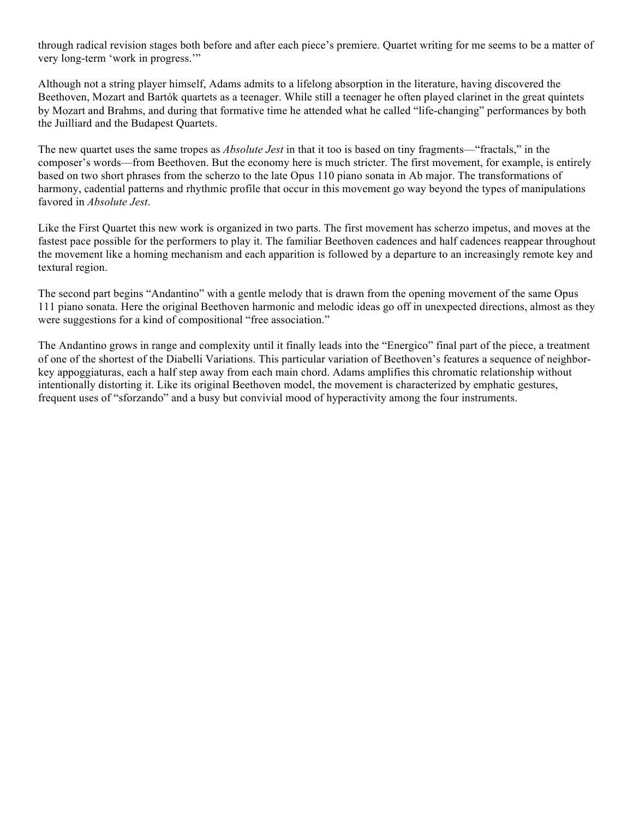through radical revision stages both before and after each piece's premiere. Quartet writing for me seems to be a matter of very long-term 'work in progress.'"

Although not a string player himself, Adams admits to a lifelong absorption in the literature, having discovered the Beethoven, Mozart and Bartók quartets as a teenager. While still a teenager he often played clarinet in the great quintets by Mozart and Brahms, and during that formative time he attended what he called "life-changing" performances by both the Juilliard and the Budapest Quartets.

The new quartet uses the same tropes as *Absolute Jest* in that it too is based on tiny fragments—"fractals," in the composer's words—from Beethoven. But the economy here is much stricter. The first movement, for example, is entirely based on two short phrases from the scherzo to the late Opus 110 piano sonata in Ab major. The transformations of harmony, cadential patterns and rhythmic profile that occur in this movement go way beyond the types of manipulations favored in *Absolute Jest*.

Like the First Quartet this new work is organized in two parts. The first movement has scherzo impetus, and moves at the fastest pace possible for the performers to play it. The familiar Beethoven cadences and half cadences reappear throughout the movement like a homing mechanism and each apparition is followed by a departure to an increasingly remote key and textural region.

The second part begins "Andantino" with a gentle melody that is drawn from the opening movement of the same Opus 111 piano sonata. Here the original Beethoven harmonic and melodic ideas go off in unexpected directions, almost as they were suggestions for a kind of compositional "free association."

The Andantino grows in range and complexity until it finally leads into the "Energico" final part of the piece, a treatment of one of the shortest of the Diabelli Variations. This particular variation of Beethoven's features a sequence of neighborkey appoggiaturas, each a half step away from each main chord. Adams amplifies this chromatic relationship without intentionally distorting it. Like its original Beethoven model, the movement is characterized by emphatic gestures, frequent uses of "sforzando" and a busy but convivial mood of hyperactivity among the four instruments.